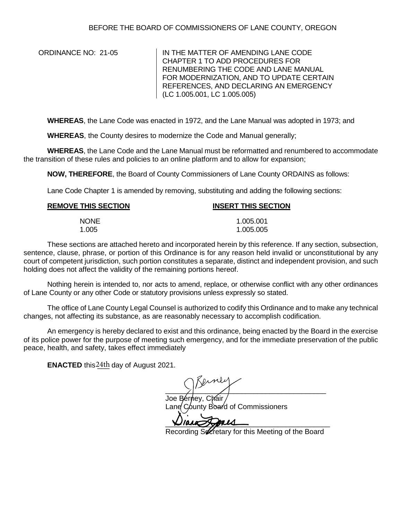ORDINANCE NO: 21-05 IN THE MATTER OF AMENDING LANE CODE CHAPTER 1 TO ADD PROCEDURES FOR RENUMBERING THE CODE AND LANE MANUAL FOR MODERNIZATION, AND TO UPDATE CERTAIN REFERENCES, AND DECLARING AN EMERGENCY (LC 1.005.001, LC 1.005.005)

**WHEREAS**, the Lane Code was enacted in 1972, and the Lane Manual was adopted in 1973; and

**WHEREAS**, the County desires to modernize the Code and Manual generally;

**WHEREAS**, the Lane Code and the Lane Manual must be reformatted and renumbered to accommodate the transition of these rules and policies to an online platform and to allow for expansion;

**NOW, THEREFORE**, the Board of County Commissioners of Lane County ORDAINS as follows:

Lane Code Chapter 1 is amended by removing, substituting and adding the following sections:

| <b>REMOVE THIS SECTION</b> | <b>INSERT THIS SECTION</b> |
|----------------------------|----------------------------|
| <b>NONE</b>                | 1.005.001                  |
| 1.005                      | 1.005.005                  |

These sections are attached hereto and incorporated herein by this reference. If any section, subsection, sentence, clause, phrase, or portion of this Ordinance is for any reason held invalid or unconstitutional by any court of competent jurisdiction, such portion constitutes a separate, distinct and independent provision, and such holding does not affect the validity of the remaining portions hereof.

Nothing herein is intended to, nor acts to amend, replace, or otherwise conflict with any other ordinances of Lane County or any other Code or statutory provisions unless expressly so stated.

The office of Lane County Legal Counsel is authorized to codify this Ordinance and to make any technical changes, not affecting its substance, as are reasonably necessary to accomplish codification.

An emergency is hereby declared to exist and this ordinance, being enacted by the Board in the exercise of its police power for the purpose of meeting such emergency, and for the immediate preservation of the public peace, health, and safety, takes effect immediately

**ENACTED** this  $24th$  day of August 2021.

 $\sum_{i=1}^{n}$ 

Joe Bérney, Cháir Lane County Board of Commissioners

\_\_\_\_\_\_\_\_\_\_\_\_\_\_\_\_\_\_\_\_\_\_\_\_\_\_\_\_\_\_\_\_\_\_\_\_\_\_\_\_\_

Recording Secretary for this Meeting of the Board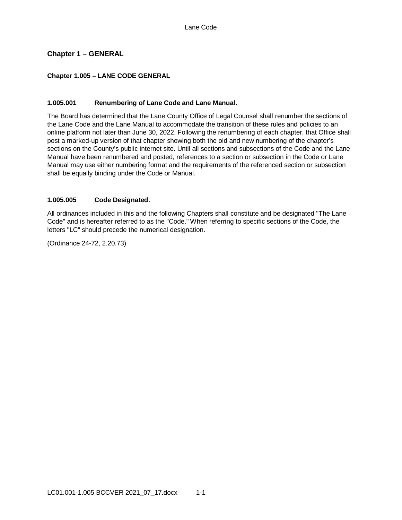# **Chapter 1 – GENERAL**

## **Chapter 1.005 – LANE CODE GENERAL**

### **1.005.001 Renumbering of Lane Code and Lane Manual.**

The Board has determined that the Lane County Office of Legal Counsel shall renumber the sections of the Lane Code and the Lane Manual to accommodate the transition of these rules and policies to an online platform not later than June 30, 2022. Following the renumbering of each chapter, that Office shall post a marked-up version of that chapter showing both the old and new numbering of the chapter's sections on the County's public internet site. Until all sections and subsections of the Code and the Lane Manual have been renumbered and posted, references to a section or subsection in the Code or Lane Manual may use either numbering format and the requirements of the referenced section or subsection shall be equally binding under the Code or Manual.

## **1.005.005 Code Designated.**

All ordinances included in this and the following Chapters shall constitute and be designated "The Lane Code" and is hereafter referred to as the "Code." When referring to specific sections of the Code, the letters "LC" should precede the numerical designation.

(Ordinance 24-72, 2.20.73)